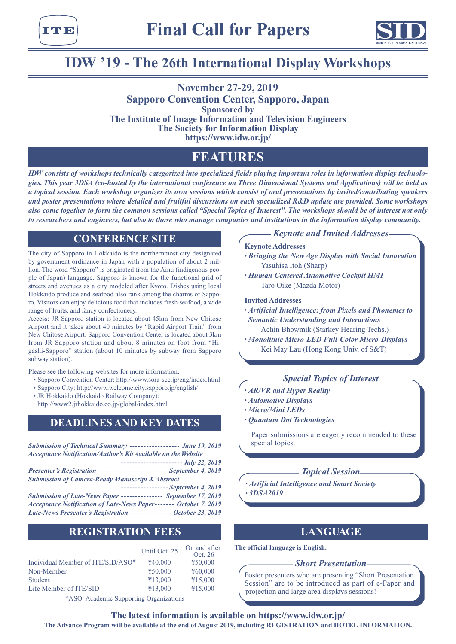



# **IDW '19 - The 26th International Display Workshops**

**November 27-29, 2019 Sapporo Convention Center, Sapporo, Japan Sponsored by The Institute of Image Information and Television Engineers The Society for Information Display https://www.idw.or.jp/**

# **FEATURES**

*IDW consists of workshops technically categorized into specialized fields playing important roles in information display technologies. This year 3DSA (co-hosted by the international conference on Three Dimensional Systems and Applications) will be held as a topical session. Each workshop organizes its own sessions which consist of oral presentations by invited/contributing speakers and poster presentations where detailed and fruitful discussions on each specialized R&D update are provided. Some workshops also come together to form the common sessions called "Special Topics of Interest". The workshops should be of interest not only to researchers and engineers, but also to those who manage companies and institutions in the information display community.*

## **CONFERENCE SITE**

The city of Sapporo in Hokkaido is the northernmost city designated by government ordinance in Japan with a population of about 2 million. The word "Sapporo" is originated from the Ainu (indigenous people of Japan) language. Sapporo is known for the functional grid of streets and avenues as a city modeled after Kyoto. Dishes using local Hokkaido produce and seafood also rank among the charms of Sapporo. Visitors can enjoy delicious food that includes fresh seafood, a wide range of fruits, and fancy confectionery.

Access: JR Sapporo station is located about 45km from New Chitose Airport and it takes about 40 minutes by "Rapid Airport Train" from New Chitose Airport. Sapporo Convention Center is located about 3km from JR Sapporo station and about 8 minutes on foot from "Higashi-Sapporo" station (about 10 minutes by subway from Sapporo subway station).

Please see the following websites for more information.

- Sapporo Convention Center: http://www.sora-scc.jp/eng/index.html
- Sapporo City: http://www.welcome.city.sapporo.jp/english/
- JR Hokkaido (Hokkaido Railway Company):

http://www2.jrhokkaido.co.jp/global/index.html

## **DEADLINES AND KEY DATES**

## **REGISTRATION FEES**

|                                   | Until Oct. 25 | On and after<br>Oct. 26 |
|-----------------------------------|---------------|-------------------------|
| Individual Member of ITE/SID/ASO* | ¥40,000       | $*50,000$               |
| Non-Member                        | ¥50,000       | ¥60,000                 |
| Student                           | ¥13,000       | $*15,000$               |
| Life Member of ITE/SID            | ¥13,000       | ¥15,000                 |
|                                   |               |                         |

\*ASO: Academic Supporting Organizations

### *Keynote and Invited Addresses*

#### **Keynote Addresses**

- *• Bringing the New Age Display with Social Innovation* Yasuhisa Itoh (Sharp)
- *• Human Centered Automotive Cockpit HMI* Taro Oike (Mazda Motor)

#### **Invited Addresses**

- *Artificial Intelligence: from Pixels and Phonemes to Semantic Understanding and Interactions*
	- Achin Bhowmik (Starkey Hearing Techs.)
- *• Monolithic Micro-LED Full-Color Micro-Displays* Kei May Lau (Hong Kong Univ. of S&T)

## *Special Topics of Interest*

- *• AR/VR and Hyper Reality*
- *• Automotive Displays*
- *• Micro/Mini LEDs*
- *• Quantum Dot Technologies*

Paper submissions are eagerly recommended to these special topics.

## *Topical Session*

*• Artificial Intelligence and Smart Society • 3DSA2019*

## **LANGUAGE**

**The official language is English.**

#### *Short Presentation*

Poster presenters who are presenting "Short Presentation Session" are to be introduced as part of e-Paper and projection and large area displays sessions!

**The latest information is available on https://www.idw.or.jp/ The Advance Program will be available at the end of August 2019, including REGISTRATION and HOTEL INFORMATION.**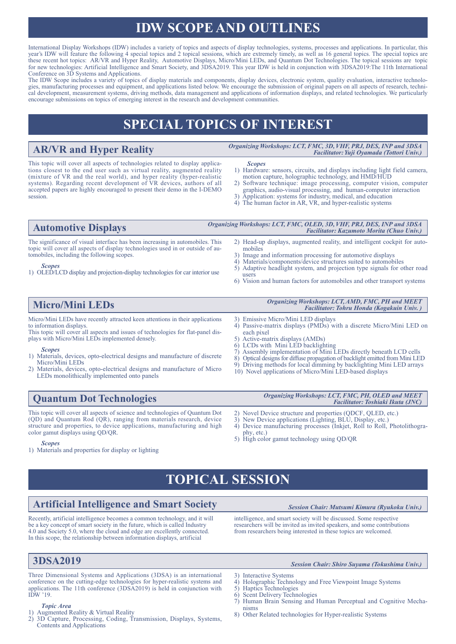# **IDW SCOPE AND OUTLINES**

International Display Workshops (IDW) includes a variety of topics and aspects of display technologies, systems, processes and applications. In particular, this year's IDW will feature the following 4 special topics and 2 topical sessions, which are extremely timely, as well as 16 general topics. The special topics are these recent hot topics: AR/VR and Hyper Reality, Automotive Displays, Micro/Mini LEDs, and Quantum Dot Technologies. The topical sessions are topic for new technologies: Artificial Intelligence and Smart Society, and  $3DSA2019$ . This year IDW is held in conjunction with 3DSA2019:The 11th International Conference on 3D Systems and Applications.

The IDW Scope includes a variety of topics of display materials and components, display devices, electronic system, quality evaluation, interactive technologies, manufacturing processes and equipment, and applications listed below. We encourage the submission of original papers on all aspects of research, technical development, measurement systems, driving methods, data management and applications of information displays, and related technologies. We particularly encourage submissions on topics of emerging interest in the research and development communities.

# **SPECIAL TOPICS OF INTEREST**

**AR/VR and Hyper Reality** *Organizing Workshops: LCT, FMC, 3D, VHF, PRJ, DES, INP and 3DSA Facilitator: Yuji Oyamada (Tottori Univ.)*

This topic will cover all aspects of technologies related to display applications closest to the end user such as virtual reality, augmented reality (mixture of VR and the real world), and hyper reality (hyper-realistic systems). Regarding recent development of VR devices, authors of all accepted papers are highly encouraged to present their demo in the I-DEMO session.

#### *Scopes*

- 1) Hardware: sensors, circuits, and displays including light field camera, motion capture, holographic technology, and HMD/HUD
- 2) Software technique: image processing, computer vision, computer graphics, audio-visual processing, and human-computer interaction
- 3) Application: systems for industry, medical, and education
- 4) The human factor in AR, VR, and hyper-realistic systems

# **Automotive Displays** *Organizing Workshops: LCT, FMC, OLED, 3D, VHF, PRJ, DES, INP and 3DSA*

The significance of visual interface has been increasing in automobiles. This topic will cover all aspects of display technologies used in or outside of automobiles, including the following scopes.

#### *Scopes*

- 1) OLED/LCD display and projection-display technologies for car interior use
- 2) Head-up displays, augmented reality, and intelligent cockpit for automobiles
- 3) Image and information processing for automotive displays 4) Materials/components/device structures suited to automob
- Materials/components/device structures suited to automobiles
- 5) Adaptive headlight system, and projection type signals for other road
- 6) Vision and human factors for automobiles and other transport systems

Micro/Mini LEDs have recently attracted keen attentions in their applications to information displays.

This topic will cover all aspects and issues of technologies for flat-panel displays with Micro/Mini LEDs implemented densely.

#### *Scopes*

- 1) Materials, devices, opto-electrical designs and manufacture of discrete Micro/Mini LEDs
- 2) Materials, devices, opto-electrical designs and manufacture of Micro LEDs monolithically implemented onto panels
- **Micro/Mini LEDs** *Organizing Workshops: LCT, AMD, FMC, PH and MEET Facilitator: Tohru Honda (Kogakuin Univ. )*

*Facilitator: Kazumoto Morita (Chuo Univ.)*

- 3) Emissive Micro/Mini LED displays<br>4) Passive-matrix displays (PMDs) w
- Passive-matrix displays (PMDs) with a discrete Micro/Mini LED on each pixel
- 5) Active-matrix displays (AMDs)
- 6) LCDs with Mini LED backlighting
- 7) Assembly implementation of Mini LEDs directly beneath LCD cells
- 8) Optical designs for diffuse propagation of backlight emitted from Mini LED
- Driving methods for local dimming by backlighting Mini LED arrays 10) Novel applications of Micro/Mini LED-based displays
- 

This topic will cover all aspects of science and technologies of Quantum Dot (QD) and Quantum Rod (QR), ranging from materials research, device structure and properties, to device applications, manufacturing and high color gamut displays using QD/QR.

#### *Scopes*

1) Materials and properties for display or lighting

#### **Quantum Dot Technologies** *Organizing Workshops: LCT, FMC, PH, OLED and MEET Facilitator: Toshiaki Ikuta (JNC)*

- 2) Novel Device structure and properties (QDCF, QLED, etc.)
- 3) New Device applications (Lighting, BLU, Display, etc.)
- 4) Device manufacturing processes (Inkjet, Roll to Roll, Photolithography, etc.)
- 5) High color gamut technology using QD/QR

# **TOPICAL SESSION**

# **Artificial Intelligence and Smart Society** *Session Chair: Mutsumi Kimura (Ryukoku Univ.)*

Recently, artificial intelligence becomes a common technology, and it will be a key concept of smart society in the future, which is called Industry 4.0 and Society 5.0, where the cloud and edge are excellently connected. In this scope, the relationship between information displays, artificial

Three Dimensional Systems and Applications (3DSA) is an international conference on the cutting-edge technologies for hyper-realistic systems and applications. The 11th conference (3DSA2019) is held in conjunction with  $I\overline{D}W$  '19.

#### *Topic Area*

- 1) Augmented Reality & Virtual Reality
- 2) 3D Capture, Processing, Coding, Transmission, Displays, Systems, Contents and Applications

intelligence, and smart society will be discussed. Some respective researchers will be invited as invited speakers, and some contributions from researchers being interested in these topics are welcomed.

## **3DSA2019** *Session Chair: Shiro Suyama (Tokushima Univ.)*

- 3) Interactive Systems
- 4) Holographic Technology and Free Viewpoint Image Systems<br>5) Hantics Technologies
- 5) Haptics Technologies
- Scent Delivery Technologies
- 7) Human Brain Sensing and Human Perceptual and Cognitive Mechanisms
- 8) Other Related technologies for Hyper-realistic Systems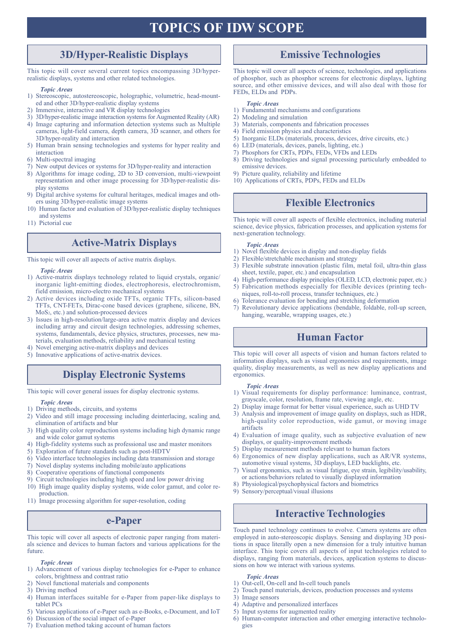# **TOPICS OF IDW SCOPE**

## **3D/Hyper-Realistic Displays**

This topic will cover several current topics encompassing 3D/hyperrealistic displays, systems and other related technologies.

#### *Topic Areas*

- 1) Stereoscopic, autostereoscopic, holographic, volumetric, head-mounted and other 3D/hyper-realistic display systems
- 2) Immersive, interactive and VR display technologies
- 3) 3D/hyper-realistic image interaction systems for Augmented Reality (AR)
- 4) Image capturing and information detection systems such as Multiple cameras, light-field camera, depth camera, 3D scanner, and others for 3D/hyper-reality and interaction
- 5) Human brain sensing technologies and systems for hyper reality and interaction
- 6) Multi-spectral imaging
- 7) New output devices or systems for 3D/hyper-reality and interaction
- 8) Algorithms for image coding, 2D to 3D conversion, multi-viewpoint representation and other image processing for 3D/hyper-realistic display systems
- 9) Digital archive systems for cultural heritages, medical images and others using 3D/hyper-realistic image systems
- 10) Human factor and evaluation of 3D/hyper-realistic display techniques and systems
- 11) Pictorial cue

## **Active-Matrix Displays**

This topic will cover all aspects of active matrix displays.

*Topic Areas*

- 1) Active-matrix displays technology related to liquid crystals, organic/ inorganic light-emitting diodes, electrophoresis, electrochromism, field emission, micro-electro mechanical systems
- 2) Active devices including oxide TFTs, organic TFTs, silicon-based TFTs, CNT-FETs, Dirac-cone based devices (graphene, silicene, BN, MoS2, etc.) and solution-processed devices
- 3) Issues in high-resolution/large-area active matrix display and devices including array and circuit design technologies, addressing schemes, systems, fundamentals, device physics, structures, processes, new materials, evaluation methods, reliability and mechanical testing
- 4) Novel emerging active-matrix displays and devices
- 5) Innovative applications of active-matrix devices.

## **Display Electronic Systems**

This topic will cover general issues for display electronic systems.

#### *Topic Areas*

- 1) Driving methods, circuits, and systems
- 2) Video and still image processing including deinterlacing, scaling and, elimination of artifacts and blur
- 3) High quality color reproduction systems including high dynamic range and wide color gamut systems
- 4) High-fidelity systems such as professional use and master monitors
- 5) Exploration of future standards such as post-HDTV
- 6) Video interface technologies including data transmission and storage
- 7) Novel display systems including mobile/auto applications
- 8) Cooperative operations of functional components
- 9) Circuit technologies including high speed and low power driving
- 10) High image quality display systems, wide color gamut, and color reproduction.
- 11) Image processing algorithm for super-resolution, coding

## **e-Paper**

This topic will cover all aspects of electronic paper ranging from materials science and devices to human factors and various applications for the future.

#### *Topic Areas*

- 1) Advancement of various display technologies for e-Paper to enhance colors, brightness and contrast ratio
- 2) Novel functional materials and components
- 3) Driving method
- 4) Human interfaces suitable for e-Paper from paper-like displays to tablet PCs
- 5) Various applications of e-Paper such as e-Books, e-Document, and IoT
- 6) Discussion of the social impact of e-Paper
- 7) Evaluation method taking account of human factors

## **Emissive Technologies**

This topic will cover all aspects of science, technologies, and applications of phosphor, such as phosphor screens for electronic displays, lighting source, and other emissive devices, and will also deal with those for FEDs, ELDs and PDPs.

#### *Topic Areas*

- 1) Fundamental mechanisms and configurations
- 2) Modeling and simulation
- 3) Materials, components and fabrication processes
- 4) Field emission physics and characteristics
- 5) Inorganic ELDs (materials, process, devices, drive circuits, etc.)
- 6) LED (materials, devices, panels, lighting, etc.)
- 7) Phosphors for CRTs, PDPs, FEDs, VFDs and LEDs
- 8) Driving technologies and signal processing particularly embedded to emissive devices.
- 9) Picture quality, reliability and lifetime
- 10) Applications of CRTs, PDPs, FEDs and ELDs

## **Flexible Electronics**

This topic will cover all aspects of flexible electronics, including material science, device physics, fabrication processes, and application systems for next-generation technology.

#### *Topic Areas*

- 1) Novel flexible devices in display and non-display fields
- 2) Flexible/stretchable mechanism and strategy 3) Flexible substrate innovation (plastic film, metal foil, ultra-thin glass
- sheet, textile, paper, etc.) and encapsulation 4) High-performance display principles (OLED, LCD, electronic paper, etc.)
- 5) Fabrication methods especially for flexible devices (printing techniques, roll-to-roll process, transfer techniques, etc.)
- 6) Tolerance evaluation for bending and stretching deformation
- 7) Revolutionary device applications (bendable, foldable, roll-up screen, hanging, wearable, wrapping usages, etc.)

## **Human Factor**

This topic will cover all aspects of vision and human factors related to information displays, such as visual ergonomics and requirements, image quality, display measurements, as well as new display applications and ergonomics.

#### *Topic Areas*

- 1) Visual requirements for display performance: luminance, contrast, grayscale, color, resolution, frame rate, viewing angle, etc.
- 2) Display image format for better visual experience, such as UHD TV
- 3) Analysis and improvement of image quality on displays, such as HDR, high-quality color reproduction, wide gamut, or moving image artifacts
- 4) Evaluation of image quality, such as subjective evaluation of new displays, or quality-improvement methods
- 5) Display measurement methods relevant to human factors
- 6) Ergonomics of new display applications, such as AR/VR systems, automotive visual systems, 3D displays, LED backlights, etc.
- 7) Visual ergonomics, such as visual fatigue, eye strain, legibility/usability, or actions/behaviors related to visually displayed information
- 8) Physiological/psychophysical factors and biometrics
- 9) Sensory/perceptual/visual illusions

## **Interactive Technologies**

Touch panel technology continues to evolve. Camera systems are often employed in auto-stereoscopic displays. Sensing and displaying 3D positions in space literally open a new dimension for a truly intuitive human interface. This topic covers all aspects of input technologies related to displays, ranging from materials, devices, application systems to discussions on how we interact with various systems.

#### *Topic Areas*

- 1) Out-cell, On-cell and In-cell touch panels
- 2) Touch panel materials, devices, production processes and systems
	- 3) Image sensors
	- 4) Adaptive and personalized interfaces
	- 5) Input systems for augmented reality
	- 6) Human-computer interaction and other emerging interactive technologies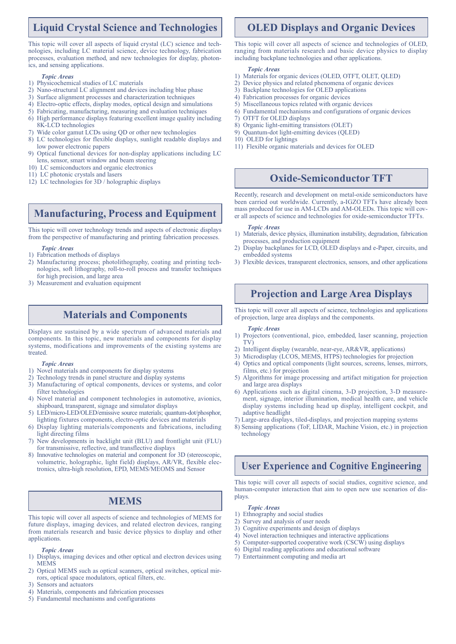## **Liquid Crystal Science and Technologies**

This topic will cover all aspects of liquid crystal (LC) science and technologies, including LC material science, device technology, fabrication processes, evaluation method, and new technologies for display, photonics, and sensing applications.

#### *Topic Areas*

- 1) Physicochemical studies of LC materials<br>2) Nano-structural LC alignment and device
- 2) Nano-structural LC alignment and devices including blue phase
- 3) Surface alignment processes and characterization techniques
- 4) Electro-optic effects, display modes, optical design and simulations
- 5) Fabricating, manufacturing, measuring and evaluation techniques
- 6) High performance displays featuring excellent image quality including 8K-LCD technologies
- 7) Wide color gamut LCDs using QD or other new technologies
- 8) LC technologies for flexible displays, sunlight readable displays and low power electronic papers
- 9) Optical functional devices for non-display applications including LC lens, sensor, smart window and beam steering
- 10) LC semiconductors and organic electronics
- 11) LC photonic crystals and lasers
- 12) LC technologies for 3D / holographic displays

## **Manufacturing, Process and Equipment**

This topic will cover technology trends and aspects of electronic displays from the perspective of manufacturing and printing fabrication processes.

#### *Topic Areas*

- 1) Fabrication methods of displays
- 2) Manufacturing process; photolithography, coating and printing technologies, soft lithography, roll-to-roll process and transfer techniques for high precision, and large area
- 3) Measurement and evaluation equipment

## **Materials and Components**

Displays are sustained by a wide spectrum of advanced materials and components. In this topic, new materials and components for display systems, modifications and improvements of the existing systems are treated.

#### *Topic Areas*

- 1) Novel materials and components for display systems
- Technology trends in panel structure and display systems
- 3) Manufacturing of optical components, devices or systems, and color filter technologies
- 4) Novel material and component technologies in automotive, avionics, shipboard, transparent, signage and simulator displays
- 5) LED/micro-LED/OLED/emissive source materials; quantum-dot/phosphor, lighting fixtures components, electro-optic devices and materials
- 6) Display lighting materials/components and fabrications, including light directing films
- 7) New developments in backlight unit (BLU) and frontlight unit (FLU) for transmissive, reflective, and transflective displays
- 8) Innovative technologies on material and component for 3D (stereoscopic, volumetric, holographic, light field) displays, AR/VR, flexible electronics, ultra-high resolution, EPD, MEMS/MEOMS and Sensor

## **MEMS**

This topic will cover all aspects of science and technologies of MEMS for future displays, imaging devices, and related electron devices, ranging from materials research and basic device physics to display and other applications.

#### *Topic Areas*

- 1) Displays, imaging devices and other optical and electron devices using MEMS
- 2) Optical MEMS such as optical scanners, optical switches, optical mirrors, optical space modulators, optical filters, etc.
- 3) Sensors and actuators
- 4) Materials, components and fabrication processes
- 5) Fundamental mechanisms and configurations

## **OLED Displays and Organic Devices**

This topic will cover all aspects of science and technologies of OLED, ranging from materials research and basic device physics to display including backplane technologies and other applications.

#### *Topic Areas*

- 1) Materials for organic devices (OLED, OTFT, OLET, QLED)
- 2) Device physics and related phenomena of organic devices
- 3) Backplane technologies for OLED applications
- 4) Fabrication processes for organic devices
- 5) Miscellaneous topics related with organic devices
- 6) Fundamental mechanisms and configurations of organic devices
- 7) OTFT for OLED displays
- 8) Organic light-emitting transistors (OLET)
- 9) Quantum-dot light-emitting devices (QLED)
- 10) OLED for lightings
- 11) Flexible organic materials and devices for OLED

## **Oxide-Semiconductor TFT**

Recently, research and development on metal-oxide semiconductors have been carried out worldwide. Currently, a-IGZO TFTs have already been mass produced for use in AM-LCDs and AM-OLEDs. This topic will cover all aspects of science and technologies for oxide-semiconductor TFTs.

#### *Topic Areas*

- 1) Materials, device physics, illumination instability, degradation, fabrication processes, and production equipment
- 2) Display backplanes for LCD, OLED displays and e-Paper, circuits, and embedded systems
- 3) Flexible devices, transparent electronics, sensors, and other applications

## **Projection and Large Area Displays**

This topic will cover all aspects of science, technologies and applications of projection, large area displays and the components.

#### *Topic Areas*

- 1) Projectors (conventional, pico, embedded, laser scanning, projection TV)
- 2) Intelligent display (wearable, near-eye, AR&VR, applications)
- 3) Microdisplay (LCOS, MEMS, HTPS) technologies for projection
- 4) Optics and optical components (light sources, screens, lenses, mirrors, films, etc.) for projection
- 5) Algorithms for image processing and artifact mitigation for projection and large area displays
- 6) Applications such as digital cinema, 3-D projection, 3-D measurement, signage, interior illumination, medical health care, and vehicle display systems including head up display, intelligent cockpit, and adaptive headlight
- 7) Large-area displays, tiled-displays, and projection mapping systems
- 8) Sensing applications (ToF, LIDAR, Machine Vision, etc.) in projection technology

## **User Experience and Cognitive Engineering**

This topic will cover all aspects of social studies, cognitive science, and human-computer interaction that aim to open new use scenarios of displays.

#### *Topic Areas*

- 1) Ethnography and social studies
- 2) Survey and analysis of user needs
- 3) Cognitive experiments and design of displays
- 4) Novel interaction techniques and interactive applications
- 5) Computer-supported cooperative work (CSCW) using displays 6) Digital reading applications and educational software
- 7) Entertainment computing and media art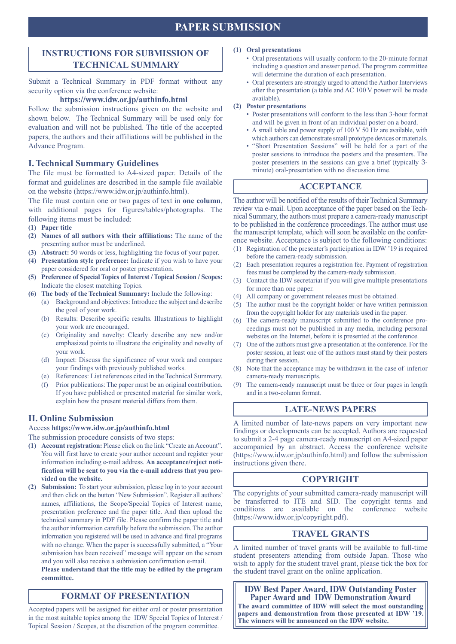## **PAPER SUBMISSION**

## **INSTRUCTIONS FOR SUBMISSION OF TECHNICAL SUMMARY**

Submit a Technical Summary in PDF format without any security option via the conference website:

#### **https://www.idw.or.jp/authinfo.html**

Follow the submission instructions given on the website and shown below. The Technical Summary will be used only for evaluation and will not be published. The title of the accepted papers, the authors and their affiliations will be published in the Advance Program.

### **I. Technical Summary Guidelines**

The file must be formatted to A4-sized paper. Details of the format and guidelines are described in the sample file available on the website (https://www.idw.or.jp/authinfo.html).

The file must contain one or two pages of text in **one column**, with additional pages for figures/tables/photographs. The following items must be included:

- **(1) Paper title**
- **(2) Names of all authors with their affiliations:** The name of the presenting author must be underlined.
- **(3) Abstract:** 50 words or less, highlighting the focus of your paper.
- **(4) Presentation style preference:** Indicate if you wish to have your paper considered for oral or poster presentation.
- **(5) Preference of Special Topics of Interest / Topical Session / Scopes:**  Indicate the closest matching Topics.
- **(6) The body of the Technical Summary:** Include the following:
	- (a) Background and objectives: Introduce the subject and describe the goal of your work.
	- (b) Results: Describe specific results. Illustrations to highlight your work are encouraged.
	- (c) Originality and novelty: Clearly describe any new and/or emphasized points to illustrate the originality and novelty of your work.
	- (d) Impact: Discuss the significance of your work and compare your findings with previously published works.
	- (e) References: List references cited in the Technical Summary.
	- (f) Prior publications: The paper must be an original contribution. If you have published or presented material for similar work, explain how the present material differs from them.

## **II. Online Submission**

Access **https://www.idw.or.jp/authinfo.html**

The submission procedure consists of two steps:

- **(1) Account registration:** Please click on the link "Create an Account". You will first have to create your author account and register your information including e-mail address. **An acceptance/reject notification will be sent to you via the e-mail address that you provided on the website.**
- **(2) Submission:** To start your submission, please log in to your account and then click on the button "New Submission". Register all authors' names, affiliations, the Scope/Special Topics of Interest name, presentation preference and the paper title. And then upload the technical summary in PDF file. Please confirm the paper title and the author information carefully before the submission. The author information you registered will be used in advance and final programs with no change. When the paper is successfully submitted, a "Your submission has been received" message will appear on the screen and you will also receive a submission confirmation e-mail.

**Please understand that the title may be edited by the program committee.**

## **FORMAT OF PRESENTATION**

Accepted papers will be assigned for either oral or poster presentation in the most suitable topics among the IDW Special Topics of Interest / Topical Session / Scopes, at the discretion of the program committee.

#### **(1) Oral presentations**

- Oral presentations will usually conform to the 20-minute format including a question and answer period. The program committee will determine the duration of each presentation.
- Oral presenters are strongly urged to attend the Author Interviews after the presentation (a table and AC 100 V power will be made available).

#### **(2) Poster presentations**

- Poster presentations will conform to the less than 3-hour format and will be given in front of an individual poster on a board.
- A small table and power supply of 100 V 50 Hz are available, with which authors can demonstrate small prototype devices or materials.
- "Short Presentation Sessions" will be held for a part of the poster sessions to introduce the posters and the presenters. The poster presenters in the sessions can give a brief (typically 3 minute) oral-presentation with no discussion time.

## **ACCEPTANCE**

The author will be notified of the results of their Technical Summary review via e-mail. Upon acceptance of the paper based on the Technical Summary, the authors must prepare a camera-ready manuscript to be published in the conference proceedings. The author must use the manuscript template, which will soon be available on the conference website. Acceptance is subject to the following conditions:

- (1) Registration of the presenter's participation in IDW '19 is required before the camera-ready submission.
- (2) Each presentation requires a registration fee. Payment of registration fees must be completed by the camera-ready submission.
- (3) Contact the IDW secretariat if you will give multiple presentations for more than one paper.
- (4) All company or government releases must be obtained.
- (5) The author must be the copyright holder or have written permission from the copyright holder for any materials used in the paper.
- (6) The camera-ready manuscript submitted to the conference proceedings must not be published in any media, including personal websites on the Internet, before it is presented at the conference.
- (7) One of the authors must give a presentation at the conference. For the poster session, at least one of the authors must stand by their posters during their session.
- (8) Note that the acceptance may be withdrawn in the case of inferior camera-ready manuscripts.
- (9) The camera-ready manuscript must be three or four pages in length and in a two-column format.

## **LATE-NEWS PAPERS**

A limited number of late-news papers on very important new findings or developments can be accepted. Authors are requested to submit a 2-4 page camera-ready manuscript on A4-sized paper accompanied by an abstract. Access the conference website (https://www.idw.or.jp/authinfo.html) and follow the submission instructions given there.

### **COPYRIGHT**

The copyrights of your submitted camera-ready manuscript will be transferred to ITE and SID. The copyright terms and conditions are available on the conference website conditions are available on the conference (https://www.idw.or.jp/copyright.pdf).

## **TRAVEL GRANTS**

A limited number of travel grants will be available to full-time student presenters attending from outside Japan. Those who wish to apply for the student travel grant, please tick the box for the student travel grant on the online application.

**IDW Best Paper Award, IDW Outstanding Poster Paper Award and IDW Demonstration Award The award committee of IDW will select the most outstanding papers and demonstration from those presented at IDW '19. The winners will be announced on the IDW website.**